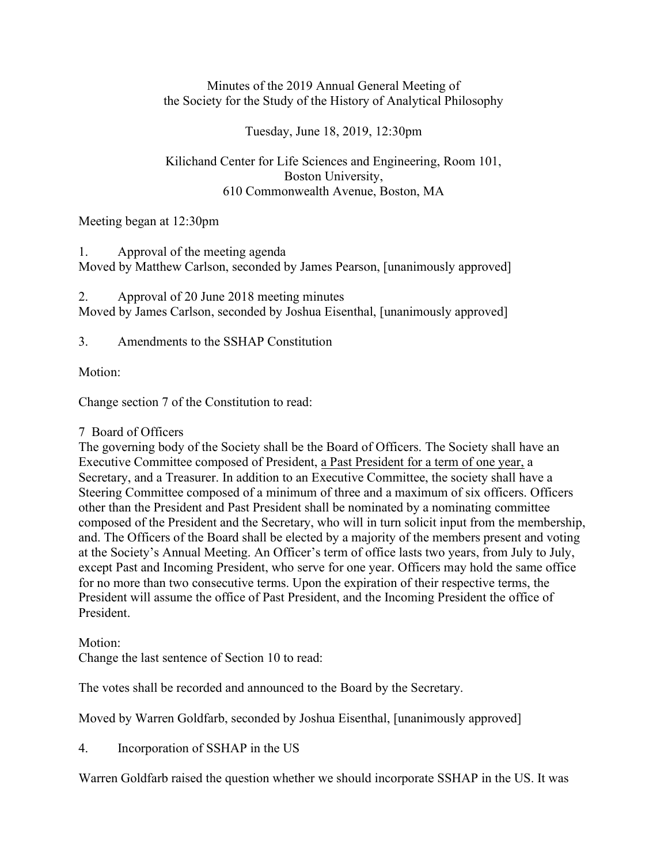## Minutes of the 2019 Annual General Meeting of the Society for the Study of the History of Analytical Philosophy

Tuesday, June 18, 2019, 12:30pm

## Kilichand Center for Life Sciences and Engineering, Room 101, Boston University, 610 Commonwealth Avenue, Boston, MA

Meeting began at 12:30pm

1. Approval of the meeting agenda Moved by Matthew Carlson, seconded by James Pearson, [unanimously approved]

2. Approval of 20 June 2018 meeting minutes Moved by James Carlson, seconded by Joshua Eisenthal, [unanimously approved]

3. Amendments to the SSHAP Constitution

Motion:

Change section 7 of the Constitution to read:

7 Board of Officers

The governing body of the Society shall be the Board of Officers. The Society shall have an Executive Committee composed of President, a Past President for a term of one year, a Secretary, and a Treasurer. In addition to an Executive Committee, the society shall have a Steering Committee composed of a minimum of three and a maximum of six officers. Officers other than the President and Past President shall be nominated by a nominating committee composed of the President and the Secretary, who will in turn solicit input from the membership, and. The Officers of the Board shall be elected by a majority of the members present and voting at the Society's Annual Meeting. An Officer's term of office lasts two years, from July to July, except Past and Incoming President, who serve for one year. Officers may hold the same office for no more than two consecutive terms. Upon the expiration of their respective terms, the President will assume the office of Past President, and the Incoming President the office of President.

Motion:

Change the last sentence of Section 10 to read:

The votes shall be recorded and announced to the Board by the Secretary.

Moved by Warren Goldfarb, seconded by Joshua Eisenthal, [unanimously approved]

4. Incorporation of SSHAP in the US

Warren Goldfarb raised the question whether we should incorporate SSHAP in the US. It was